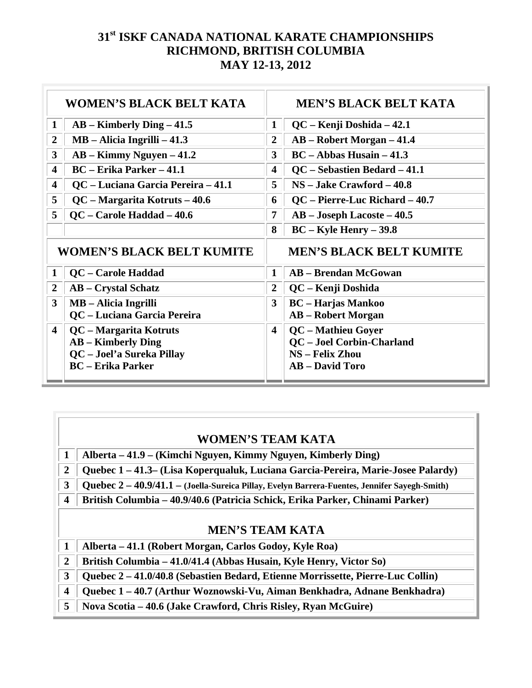| <b>WOMEN'S BLACK BELT KATA</b>   |                                    | <b>MEN'S BLACK BELT KATA</b>   |                                |
|----------------------------------|------------------------------------|--------------------------------|--------------------------------|
| $\mathbf{1}$                     | $AB -$ Kimberly Ding $-41.5$       | $\mathbf 1$                    | QC – Kenji Doshida – 42.1      |
| $\overline{2}$                   | $MB - Alicia Ingrilli - 41.3$      | $\overline{2}$                 | AB – Robert Morgan – 41.4      |
| $\mathbf{3}$                     | $AB -$ Kimmy Nguyen $-41.2$        | 3                              | $BC - Abbas Husain - 41.3$     |
| $\overline{\mathbf{4}}$          | <b>BC</b> – Erika Parker – 41.1    | $\overline{\mathbf{4}}$        | QC – Sebastien Bedard – 41.1   |
| 4                                | QC - Luciana Garcia Pereira - 41.1 | 5                              | $NS - Jake$ Crawford $-40.8$   |
| 5                                | QC – Margarita Kotruts – 40.6      | 6                              | QC - Pierre-Luc Richard - 40.7 |
| 5                                | QC – Carole Haddad – 40.6          | $\overline{7}$                 | AB - Joseph Lacoste - 40.5     |
|                                  |                                    | 8                              | $BC - Kyle Henry - 39.8$       |
| <b>WOMEN'S BLACK BELT KUMITE</b> |                                    | <b>MEN'S BLACK BELT KUMITE</b> |                                |
|                                  |                                    |                                |                                |
| 1                                | QC - Carole Haddad                 | $\mathbf{1}$                   | <b>AB</b> - Brendan McGowan    |
| $\overline{2}$                   | <b>AB</b> – Crystal Schatz         | $\overline{2}$                 | QC - Kenji Doshida             |
| $\mathbf{3}$                     | <b>MB</b> – Alicia Ingrilli        | 3                              | <b>BC</b> – Harjas Mankoo      |
|                                  | QC - Luciana Garcia Pereira        |                                | <b>AB</b> – Robert Morgan      |
| $\overline{\mathbf{4}}$          | QC - Margarita Kotruts             | $\overline{\mathbf{4}}$        | QC - Mathieu Goyer             |
|                                  | <b>AB</b> – Kimberly Ding          |                                | QC - Joel Corbin-Charland      |
|                                  | QC - Joel'a Sureka Pillay          |                                | <b>NS</b> – Felix Zhou         |
|                                  | <b>BC</b> – Erika Parker           |                                | <b>AB</b> – David Toro         |

#### **WOMEN'S TEAM KATA**

- **1 Alberta 41.9 (Kimchi Nguyen, Kimmy Nguyen, Kimberly Ding)**
- **2 Quebec 1 41.3– (Lisa Koperqualuk, Luciana Garcia-Pereira, Marie-Josee Palardy)**
- **3 Quebec 2 40.9/41.1 (Joella-Sureica Pillay, Evelyn Barrera-Fuentes, Jennifer Sayegh-Smith)**
- **4 British Columbia 40.9/40.6 (Patricia Schick, Erika Parker, Chinami Parker)**

#### **MEN'S TEAM KATA**

- **1 Alberta 41.1 (Robert Morgan, Carlos Godoy, Kyle Roa)**
- **2 British Columbia 41.0/41.4 (Abbas Husain, Kyle Henry, Victor So)**
- **3 Quebec 2 41.0/40.8 (Sebastien Bedard, Etienne Morrissette, Pierre-Luc Collin)**
- **4 Quebec 1 40.7 (Arthur Woznowski-Vu, Aiman Benkhadra, Adnane Benkhadra)**
- **5 Nova Scotia 40.6 (Jake Crawford, Chris Risley, Ryan McGuire)**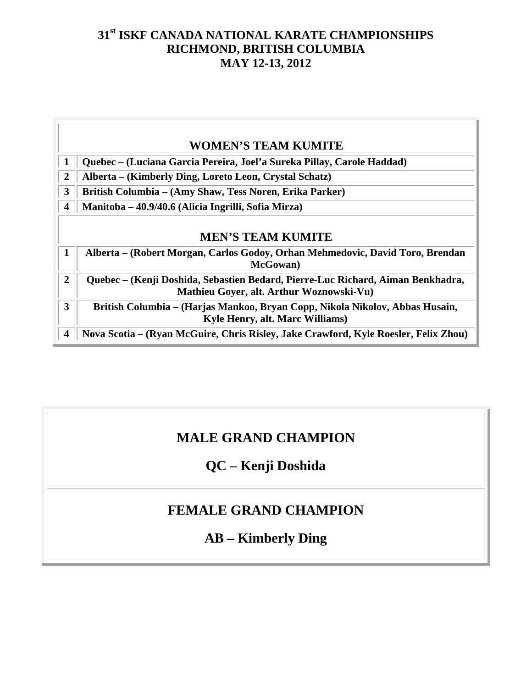-1

 $\overline{a}$ 

|                  | <b>WOMEN'S TEAM KUMITE</b>                                                                                                  |  |  |  |
|------------------|-----------------------------------------------------------------------------------------------------------------------------|--|--|--|
|                  | Quebec – (Luciana Garcia Pereira, Joel'a Sureka Pillay, Carole Haddad)                                                      |  |  |  |
| $\overline{2}$   | Alberta – (Kimberly Ding, Loreto Leon, Crystal Schatz)                                                                      |  |  |  |
| 3                | British Columbia - (Amy Shaw, Tess Noren, Erika Parker)                                                                     |  |  |  |
| $\boldsymbol{4}$ | Manitoba – 40.9/40.6 (Alicia Ingrilli, Sofia Mirza)                                                                         |  |  |  |
| 1                | <b>MEN'S TEAM KUMITE</b><br>Alberta – (Robert Morgan, Carlos Godoy, Orhan Mehmedovic, David Toro, Brendan<br>McGowan)       |  |  |  |
| $\overline{2}$   | Quebec – (Kenji Doshida, Sebastien Bedard, Pierre-Luc Richard, Aiman Benkhadra,<br>Mathieu Goyer, alt. Arthur Woznowski-Vu) |  |  |  |
| 3                | British Columbia – (Harjas Mankoo, Bryan Copp, Nikola Nikolov, Abbas Husain,<br><b>Kyle Henry, alt. Marc Williams)</b>      |  |  |  |
| $\boldsymbol{4}$ | Nova Scotia – (Ryan McGuire, Chris Risley, Jake Crawford, Kyle Roesler, Felix Zhou)                                         |  |  |  |

# **MALE GRAND CHAMPION**

# **QC – Kenji Doshida**

# **FEMALE GRAND CHAMPION**

# **AB – Kimberly Ding**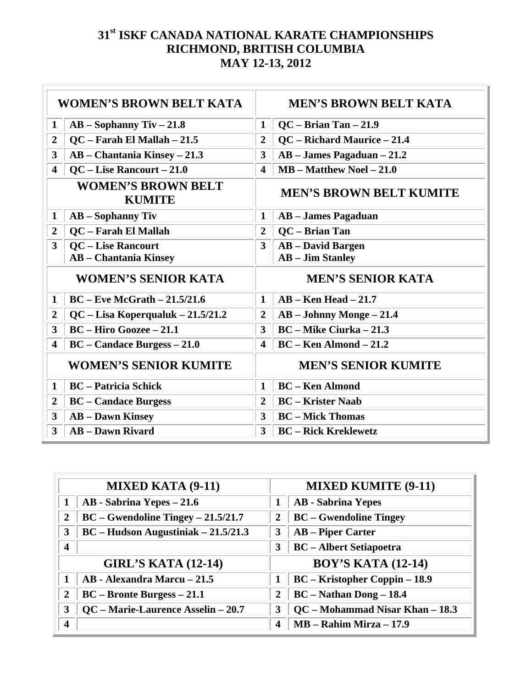| <b>WOMEN'S BROWN BELT KATA</b>             |                                                           | <b>MEN'S BROWN BELT KATA</b>   |                                                     |  |
|--------------------------------------------|-----------------------------------------------------------|--------------------------------|-----------------------------------------------------|--|
| $\mathbf{1}$                               | $AB - Sophanny$ Tiv $-21.8$                               | $\mathbf{1}$                   | $QC - Brian Tan - 21.9$                             |  |
| $\overline{2}$                             | QC - Farah El Mallah - 21.5                               | $\overline{2}$                 | QC - Richard Maurice - 21.4                         |  |
| $\overline{3}$                             | AB - Chantania Kinsey - 21.3                              | 3                              | $AB - James Pagaduan - 21.2$                        |  |
| $\overline{\mathbf{4}}$                    | QC – Lise Rancourt – 21.0                                 | $\overline{\mathbf{4}}$        | $MB - Matthew Noel - 21.0$                          |  |
| <b>WOMEN'S BROWN BELT</b><br><b>KUMITE</b> |                                                           | <b>MEN'S BROWN BELT KUMITE</b> |                                                     |  |
| $\mathbf{1}$                               | $AB - Sophanny$ Tiv                                       | $\mathbf{1}$                   | <b>AB</b> – James Pagaduan                          |  |
| $\overline{2}$                             | QC - Farah El Mallah                                      | $\overline{2}$                 | QC - Brian Tan                                      |  |
| $\overline{3}$                             | <b>QC</b> – Lise Rancourt<br><b>AB</b> - Chantania Kinsey | $\overline{3}$                 | <b>AB</b> – David Bargen<br><b>AB</b> – Jim Stanley |  |
| <b>WOMEN'S SENIOR KATA</b>                 |                                                           | <b>MEN'S SENIOR KATA</b>       |                                                     |  |
| $\mathbf{1}$                               | $BC$ – Eve McGrath – 21.5/21.6                            | $\mathbf{1}$                   | $AB - Ken Head - 21.7$                              |  |
| $\overline{2}$                             | $QC$ – Lisa Koperqualuk – 21.5/21.2                       | $\boldsymbol{2}$               | $AB - Johnny Monge - 21.4$                          |  |
| $\mathbf{3}$                               | <b>BC</b> – Hiro Goozee – 21.1                            | 3                              | <b>BC</b> – Mike Ciurka – 21.3                      |  |
| 4                                          | <b>BC</b> – Candace Burgess – 21.0                        | 4                              | $BC - Ken$ Almond $-21.2$                           |  |
| <b>WOMEN'S SENIOR KUMITE</b>               |                                                           | <b>MEN'S SENIOR KUMITE</b>     |                                                     |  |
| $\mathbf{1}$                               | <b>BC</b> – Patricia Schick                               | $\mathbf{1}$                   | <b>BC</b> – Ken Almond                              |  |
| $\overline{2}$                             | <b>BC</b> – Candace Burgess                               | $\overline{2}$                 | <b>BC</b> – Krister Naab                            |  |
| $\mathbf{3}$                               | <b>AB</b> – Dawn Kinsey                                   | $\overline{3}$                 | <b>BC</b> – Mick Thomas                             |  |
| $\mathbf{3}$                               | <b>AB</b> – Dawn Rivard                                   | 3                              | <b>BC</b> - Rick Kreklewetz                         |  |

| <b>MIXED KATA (9-11)</b> |                                       |                         | <b>MIXED KUMITE (9-11)</b>           |  |
|--------------------------|---------------------------------------|-------------------------|--------------------------------------|--|
|                          | AB - Sabrina Yepes - 21.6             |                         | <b>AB</b> - Sabrina Yepes            |  |
| 2                        | $BC - Gwendoline Tingey - 21.5/21.7$  | 2                       | <b>BC</b> – Gwendoline Tingey        |  |
| 3                        | $BC$ – Hudson Augustiniak – 21.5/21.3 | 3                       | <b>AB</b> – Piper Carter             |  |
| $\overline{\mathbf{4}}$  |                                       | 3                       | <b>BC</b> – Albert Setiapoetra       |  |
|                          | <b>GIRL'S KATA (12-14)</b>            |                         | <b>BOY'S KATA (12-14)</b>            |  |
|                          | AB - Alexandra Marcu - 21.5           |                         | <b>BC</b> – Kristopher Coppin – 18.9 |  |
| $\overline{2}$           | $BC - Bronte Burgess - 21.1$          | 2                       | $BC - Nathan$ Dong $- 18.4$          |  |
| 3                        | QC - Marie-Laurence Asselin - 20.7    | 3                       | QC - Mohammad Nisar Khan - 18.3      |  |
| $\overline{\mathbf{4}}$  |                                       | $\overline{\mathbf{4}}$ | $MB - Rahim Mirza - 17.9$            |  |